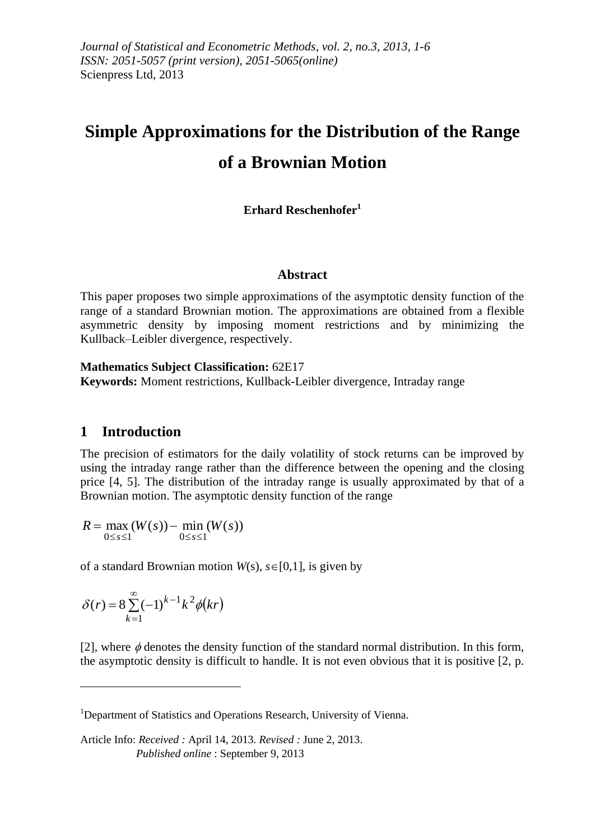# **Simple Approximations for the Distribution of the Range of a Brownian Motion**

### **Erhard Reschenhofer<sup>1</sup>**

#### **Abstract**

This paper proposes two simple approximations of the asymptotic density function of the range of a standard Brownian motion. The approximations are obtained from a flexible asymmetric density by imposing moment restrictions and by minimizing the Kullback–Leibler divergence, respectively.

**Mathematics Subject Classification:** 62E17

**Keywords:** Moment restrictions, Kullback-Leibler divergence, Intraday range

#### **1 Introduction**

The precision of estimators for the daily volatility of stock returns can be improved by using the intraday range rather than the difference between the opening and the closing price [4, 5]. The distribution of the intraday range is usually approximated by that of a Brownian motion. The asymptotic density function of the range

 $max(W(s))$  – min  $(W(s))$  $0 \leq s \leq 1$   $0 \leq s \leq 1$  $R = \max(W(s)) - \min(W(s))$  $\leq s \leq 1$   $0 \leq s \leq$  $=$  max  $(W(s))$  –

of a standard Brownian motion  $W(s)$ ,  $s \in [0,1]$ , is given by

$$
\delta(r) = 8 \sum_{k=1}^{\infty} (-1)^{k-1} k^2 \phi(kr)
$$

 $\overline{a}$ 

[2], where  $\phi$  denotes the density function of the standard normal distribution. In this form, the asymptotic density is difficult to handle. It is not even obvious that it is positive [2, p.

<sup>&</sup>lt;sup>1</sup>Department of Statistics and Operations Research, University of Vienna.

Article Info: *Received :* April 14, 2013*. Revised :* June 2, 2013.  *Published online* : September 9, 2013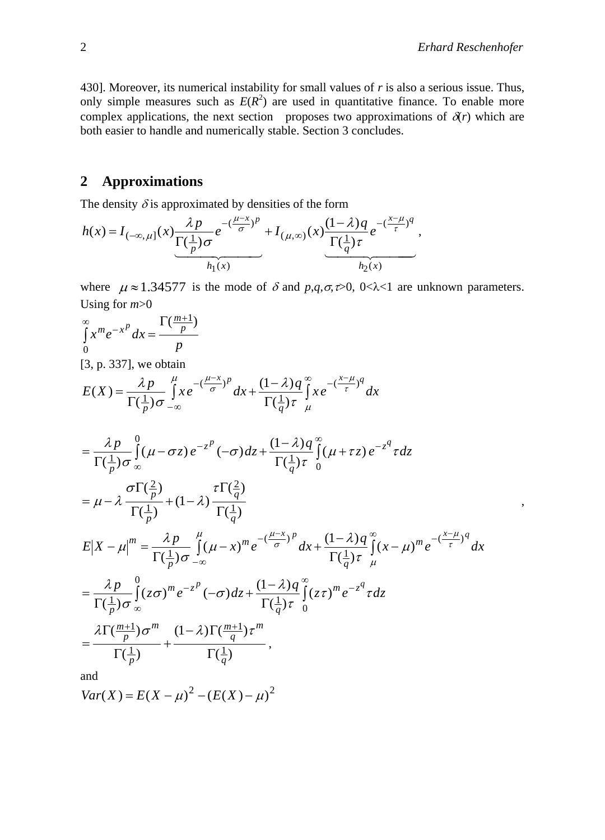430]. Moreover, its numerical instability for small values of *r* is also a serious issue. Thus, only simple measures such as  $E(R^2)$  are used in quantitative finance. To enable more complex applications, the next section proposes two approximations of  $\delta(r)$  which are both easier to handle and numerically stable. Section 3 concludes.

# **2 Approximations**

The density  $\delta$  is approximated by densities of the form

$$
h(x) = I_{(-\infty,\mu]}(x) \frac{\lambda p}{\Gamma(\frac{1}{p})\sigma} e^{-\left(\frac{\mu-x}{\sigma}\right)^p} + I_{(\mu,\infty)}(x) \frac{(1-\lambda)q}{\Gamma(\frac{1}{q})\tau} e^{-\left(\frac{x-\mu}{\tau}\right)^q},
$$

where  $\mu \approx 1.34577$  is the mode of  $\delta$  and  $p,q,\sigma,\infty$ , 0< $\lambda$ <1 are unknown parameters. Using for *m*>0

$$
\int_{0}^{\infty} x^{m} e^{-x^{p}} dx = \frac{\Gamma(\frac{m+1}{p})}{p}
$$
\n[3, p. 337], we obtain\n
$$
E(X) = \frac{\lambda p}{\Gamma(\frac{1}{p})\sigma} \int_{-\infty}^{\mu} x e^{-(\frac{\mu-x}{\sigma})^{p}} dx + \frac{(1-\lambda)q}{\Gamma(\frac{1}{q})\tau} \int_{\mu}^{\infty} x e^{-(\frac{x-\mu}{\tau})^{q}} dx
$$
\n
$$
= \frac{\lambda p}{\Gamma(\frac{1}{p})\sigma} \int_{-\infty}^{0} (\mu - \sigma z) e^{-z^{p}} (-\sigma) dz + \frac{(1-\lambda)q}{\Gamma(\frac{1}{q})\tau} \int_{0}^{\infty} (\mu + \tau z) e^{-z^{q}} \tau dz
$$
\n
$$
= \mu - \lambda \frac{\sigma \Gamma(\frac{2}{p})}{\Gamma(\frac{1}{p})} + (1-\lambda) \frac{\tau \Gamma(\frac{2}{q})}{\Gamma(\frac{1}{q})}
$$
\n
$$
E|X - \mu|^{m} = \frac{\lambda p}{\Gamma(\frac{1}{p})\sigma} \int_{-\infty}^{\mu} (\mu - x)^{m} e^{-(\frac{\mu - x}{\sigma})^{p}} dx + \frac{(1-\lambda)q}{\Gamma(\frac{1}{q})\tau} \int_{\mu}^{\infty} (\mu - \mu)^{m} e^{-(\frac{x-\mu}{\tau})^{q}} dx
$$
\n
$$
= \frac{\lambda p}{\Gamma(\frac{1}{p})\sigma} \int_{-\infty}^{0} (z\sigma)^{m} e^{-z^{p}} (-\sigma) dz + \frac{(1-\lambda)q}{\Gamma(\frac{1}{q})\tau} \int_{0}^{\infty} (z\tau)^{m} e^{-z^{q}} \tau dz
$$
\n
$$
= \frac{\lambda \Gamma(\frac{m+1}{p})\sigma^{m}}{\Gamma(\frac{1}{p})} + \frac{(1-\lambda) \Gamma(\frac{m+1}{q})\tau^{m}}{\Gamma(\frac{1}{q})} ,
$$

and

$$
Var(X) = E(X - \mu)^2 - (E(X) - \mu)^2
$$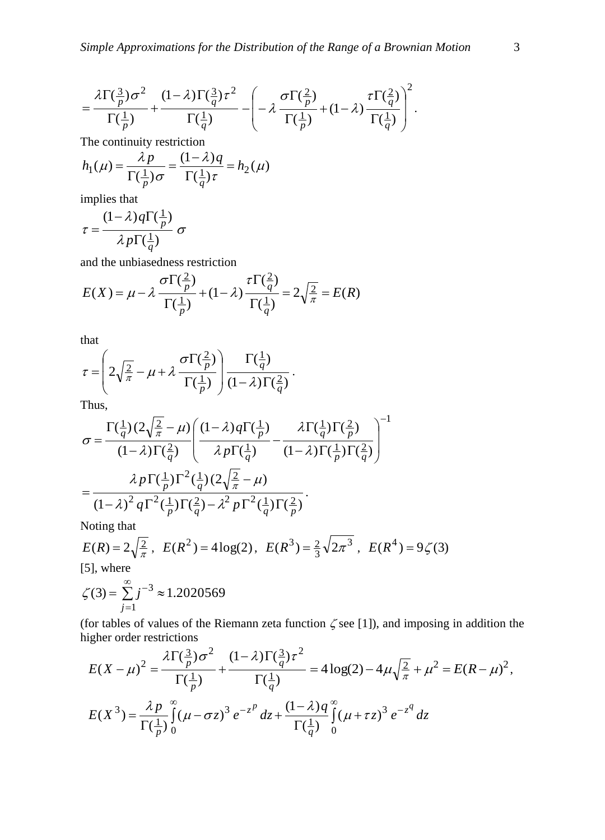$$
= \frac{\lambda \Gamma(\frac{3}{p})\sigma^2}{\Gamma(\frac{1}{p})} + \frac{(1-\lambda)\Gamma(\frac{3}{q})\tau^2}{\Gamma(\frac{1}{q})} - \left(-\lambda \frac{\sigma \Gamma(\frac{2}{p})}{\Gamma(\frac{1}{p})} + (1-\lambda) \frac{\tau \Gamma(\frac{2}{q})}{\Gamma(\frac{1}{q})}\right)^2.
$$

The continuity restriction

$$
h_1(\mu) = \frac{\lambda p}{\Gamma(\frac{1}{p})\sigma} = \frac{(1-\lambda)q}{\Gamma(\frac{1}{q})\tau} = h_2(\mu)
$$

implies that

$$
\tau = \frac{(1-\lambda)q\Gamma(\frac{1}{p})}{\lambda p\Gamma(\frac{1}{q})}\sigma
$$

and the unbiasedness restriction

$$
E(X) = \mu - \lambda \frac{\sigma \Gamma(\frac{2}{p})}{\Gamma(\frac{1}{p})} + (1 - \lambda) \frac{\tau \Gamma(\frac{2}{q})}{\Gamma(\frac{1}{q})} = 2\sqrt{\frac{2}{\pi}} = E(R)
$$

that

$$
\tau = \left(2\sqrt{\frac{2}{\pi}} - \mu + \lambda \frac{\sigma \Gamma(\frac{2}{p})}{\Gamma(\frac{1}{p})}\right) \frac{\Gamma(\frac{1}{q})}{(1-\lambda)\Gamma(\frac{2}{q})}.
$$

Thus,

$$
\sigma = \frac{\Gamma(\frac{1}{q})(2\sqrt{\frac{2}{\pi}}-\mu)\left((1-\lambda)q\Gamma(\frac{1}{p})}{(1-\lambda)\Gamma(\frac{2}{q})}\right)^{-1}}{(\lambda p\Gamma(\frac{1}{q})}-\frac{\lambda\Gamma(\frac{1}{q})\Gamma(\frac{2}{p})}{(1-\lambda)\Gamma(\frac{1}{p})\Gamma(\frac{2}{q})}\right)^{-1}} = \frac{\lambda p \Gamma(\frac{1}{p}) \Gamma^2(\frac{1}{q})(2\sqrt{\frac{2}{\pi}}-\mu)}{(1-\lambda)^2 q \Gamma^2(\frac{1}{p}) \Gamma(\frac{2}{q})-\lambda^2 p \Gamma^2(\frac{1}{q}) \Gamma(\frac{2}{p})}.
$$

Noting that

$$
E(R) = 2\sqrt{\frac{2}{\pi}}
$$
,  $E(R^2) = 4\log(2)$ ,  $E(R^3) = \frac{2}{3}\sqrt{2\pi^3}$ ,  $E(R^4) = 9\zeta(3)$   
[5], where

$$
\zeta(3) = \sum_{j=1}^{\infty} j^{-3} \approx 1.2020569
$$

(for tables of values of the Riemann zeta function  $\zeta$  see [1]), and imposing in addition the higher order restrictions

$$
E(X - \mu)^2 = \frac{\lambda \Gamma(\frac{3}{p})\sigma^2}{\Gamma(\frac{1}{p})} + \frac{(1 - \lambda)\Gamma(\frac{3}{q})\tau^2}{\Gamma(\frac{1}{q})} = 4\log(2) - 4\mu\sqrt{\frac{2}{\pi}} + \mu^2 = E(R - \mu)^2,
$$
  

$$
E(X^3) = \frac{\lambda p}{\Gamma(\frac{1}{p})}\int_0^\infty (\mu - \sigma z)^3 e^{-z^p} dz + \frac{(1 - \lambda)q}{\Gamma(\frac{1}{q})}\int_0^\infty (\mu + \tau z)^3 e^{-z^q} dz
$$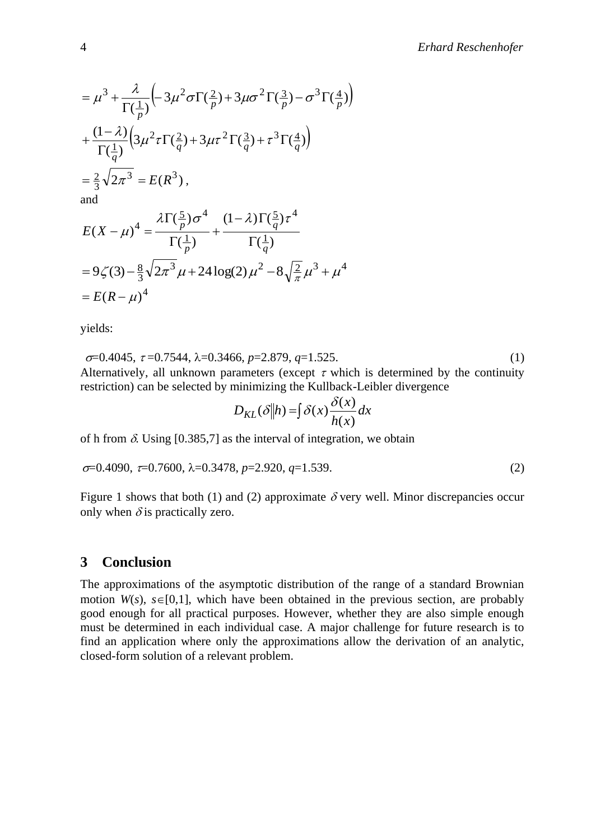$$
= \mu^3 + \frac{\lambda}{\Gamma(\frac{1}{p})} \left( -3\mu^2 \sigma \Gamma(\frac{2}{p}) + 3\mu \sigma^2 \Gamma(\frac{3}{p}) - \sigma^3 \Gamma(\frac{4}{p}) \right)
$$
  
+ 
$$
\frac{(1 - \lambda)}{\Gamma(\frac{1}{q})} \left( 3\mu^2 \tau \Gamma(\frac{2}{q}) + 3\mu \tau^2 \Gamma(\frac{3}{q}) + \tau^3 \Gamma(\frac{4}{q}) \right)
$$
  
= 
$$
\frac{2}{3} \sqrt{2\pi^3} = E(R^3),
$$
  
and

$$
E(X - \mu)^4 = \frac{\lambda \Gamma(\frac{5}{p}) \sigma^4}{\Gamma(\frac{1}{p})} + \frac{(1 - \lambda)\Gamma(\frac{5}{q}) \tau^4}{\Gamma(\frac{1}{q})}
$$
  
= 9\zeta(3) - \frac{8}{3}\sqrt{2\pi^3} \mu + 24\log(2) \mu^2 - 8\sqrt{\frac{2}{\pi}} \mu^3 + \mu^4  
= E(R - \mu)^4

yields:

 $\sigma$ =0.4045,  $\tau$ =0.7544,  $\lambda$ =0.3466,  $p$ =2.879,  $q$ =1.525. (1) Alternatively, all unknown parameters (except  $\tau$  which is determined by the continuity restriction) can be selected by minimizing the Kullback-Leibler divergence

$$
D_{KL}(\delta||h) = \int \delta(x) \frac{\delta(x)}{h(x)} dx
$$

of h from  $\delta$ . Using [0.385,7] as the interval of integration, we obtain

$$
\sigma=0.4090, \tau=0.7600, \lambda=0.3478, p=2.920, q=1.539.
$$
 (2)

Figure 1 shows that both (1) and (2) approximate  $\delta$  very well. Minor discrepancies occur only when  $\delta$  is practically zero.

#### **3 Conclusion**

The approximations of the asymptotic distribution of the range of a standard Brownian motion  $W(s)$ ,  $s\in[0,1]$ , which have been obtained in the previous section, are probably good enough for all practical purposes. However, whether they are also simple enough must be determined in each individual case. A major challenge for future research is to find an application where only the approximations allow the derivation of an analytic, closed-form solution of a relevant problem.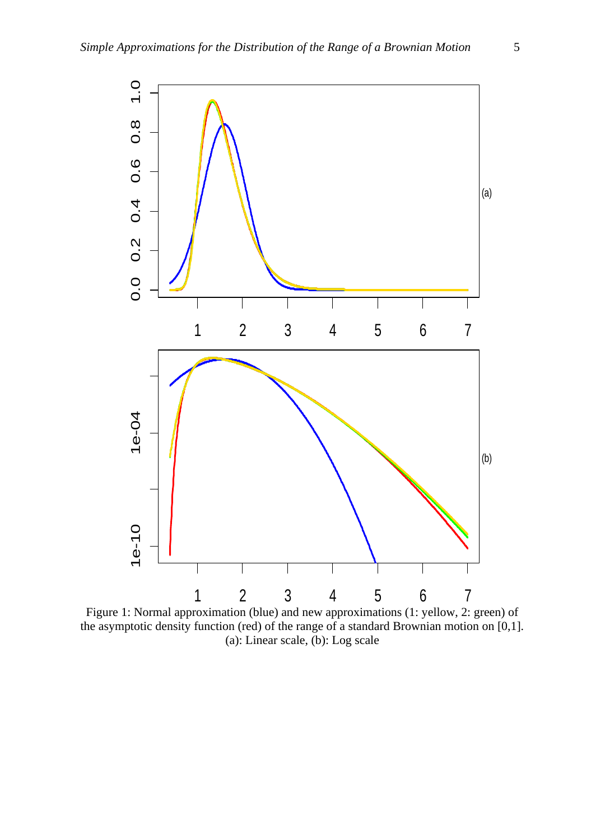

Figure 1: Normal approximation (blue) and new approximations (1: yellow, 2: green) of the asymptotic density function (red) of the range of a standard Brownian motion on [0,1]. (a): Linear scale, (b): Log scale